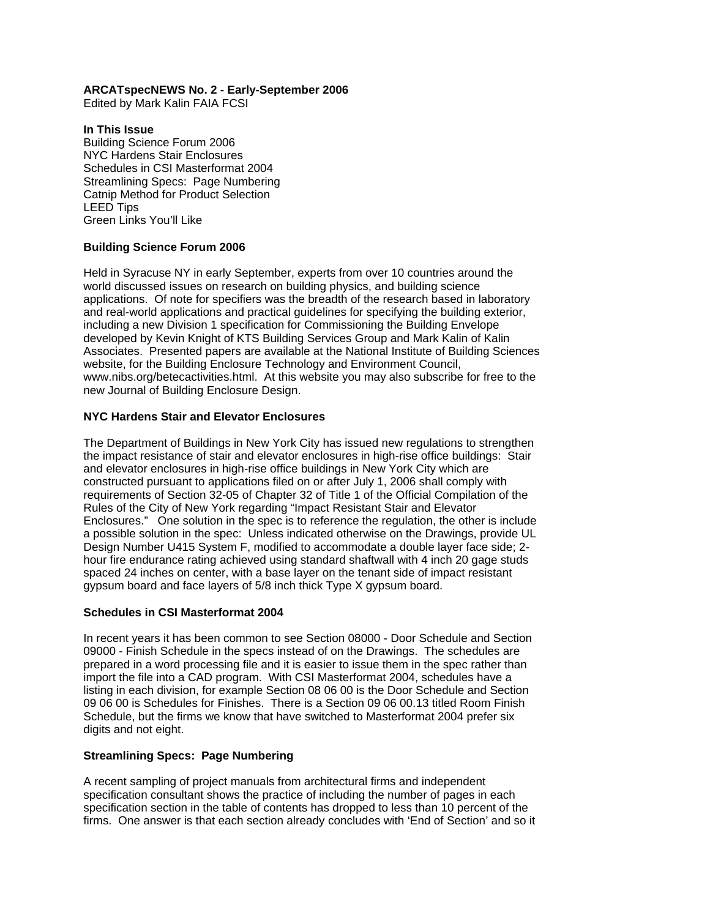## **ARCATspecNEWS No. 2 - Early-September 2006**

Edited by Mark Kalin FAIA FCSI

## **In This Issue**

Building Science Forum 2006 NYC Hardens Stair Enclosures Schedules in CSI Masterformat 2004 Streamlining Specs: Page Numbering Catnip Method for Product Selection LEED Tips Green Links You'll Like

# **Building Science Forum 2006**

Held in Syracuse NY in early September, experts from over 10 countries around the world discussed issues on research on building physics, and building science applications. Of note for specifiers was the breadth of the research based in laboratory and real-world applications and practical guidelines for specifying the building exterior, including a new Division 1 specification for Commissioning the Building Envelope developed by Kevin Knight of KTS Building Services Group and Mark Kalin of Kalin Associates. Presented papers are available at the National Institute of Building Sciences website, for the Building Enclosure Technology and Environment Council, www.nibs.org/betecactivities.html. At this website you may also subscribe for free to the new Journal of Building Enclosure Design.

# **NYC Hardens Stair and Elevator Enclosures**

The Department of Buildings in New York City has issued new regulations to strengthen the impact resistance of stair and elevator enclosures in high-rise office buildings: Stair and elevator enclosures in high-rise office buildings in New York City which are constructed pursuant to applications filed on or after July 1, 2006 shall comply with requirements of Section 32-05 of Chapter 32 of Title 1 of the Official Compilation of the Rules of the City of New York regarding "Impact Resistant Stair and Elevator Enclosures." One solution in the spec is to reference the regulation, the other is include a possible solution in the spec: Unless indicated otherwise on the Drawings, provide UL Design Number U415 System F, modified to accommodate a double layer face side; 2 hour fire endurance rating achieved using standard shaftwall with 4 inch 20 gage studs spaced 24 inches on center, with a base layer on the tenant side of impact resistant gypsum board and face layers of 5/8 inch thick Type X gypsum board.

### **Schedules in CSI Masterformat 2004**

In recent years it has been common to see Section 08000 - Door Schedule and Section 09000 - Finish Schedule in the specs instead of on the Drawings. The schedules are prepared in a word processing file and it is easier to issue them in the spec rather than import the file into a CAD program. With CSI Masterformat 2004, schedules have a listing in each division, for example Section 08 06 00 is the Door Schedule and Section 09 06 00 is Schedules for Finishes. There is a Section 09 06 00.13 titled Room Finish Schedule, but the firms we know that have switched to Masterformat 2004 prefer six digits and not eight.

### **Streamlining Specs: Page Numbering**

A recent sampling of project manuals from architectural firms and independent specification consultant shows the practice of including the number of pages in each specification section in the table of contents has dropped to less than 10 percent of the firms. One answer is that each section already concludes with 'End of Section' and so it